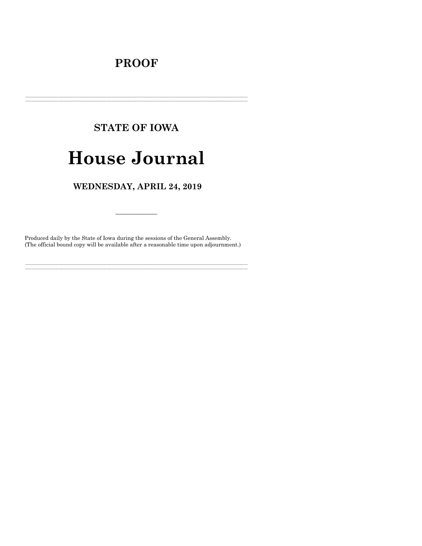### **PROOF**

## **STATE OF IOWA**

# **House Journal**

### WEDNESDAY, APRIL 24, 2019

Produced daily by the State of Iowa during the sessions of the General Assembly. (The official bound copy will be available after a reasonable time upon adjournment.)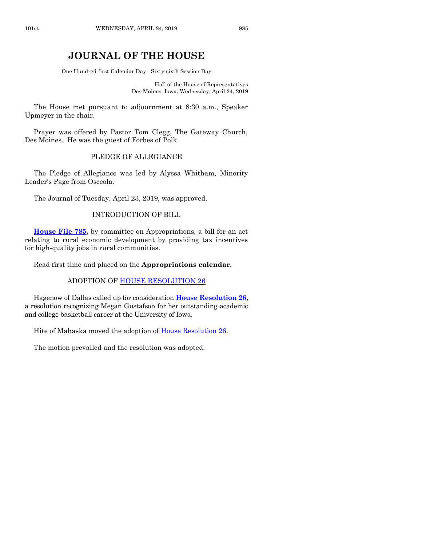### **JOURNAL OF THE HOUSE**

One Hundred-first Calendar Day - Sixty-sixth Session Day

Hall of the House of Representatives Des Moines, Iowa, Wednesday, April 24, 2019

The House met pursuant to adjournment at 8:30 a.m., Speaker Upmeyer in the chair.

Prayer was offered by Pastor Tom Clegg, The Gateway Church, Des Moines. He was the guest of Forbes of Polk.

#### PLEDGE OF ALLEGIANCE

The Pledge of Allegiance was led by Alyssa Whitham, Minority Leader's Page from Osceola.

The Journal of Tuesday, April 23, 2019, was approved.

#### INTRODUCTION OF BILL

**[House File 785,](https://www.legis.iowa.gov/legislation/BillBook?ga=88&ba=HF785)** by committee on Appropriations, a bill for an act relating to rural economic development by providing tax incentives for high-quality jobs in rural communities.

Read first time and placed on the **Appropriations calendar.**

#### ADOPTION OF HOUSE [RESOLUTION 26](https://www.legis.iowa.gov/legislation/BillBook?ga=88&ba=HR26)

Hagenow of Dallas called up for consideration **[House Resolution 26,](https://www.legis.iowa.gov/legislation/BillBook?ga=88&ba=HR26)** a resolution recognizing Megan Gustafson for her outstanding academic and college basketball career at the University of Iowa.

Hite of Mahaska moved the adoption of House [Resolution 26.](https://www.legis.iowa.gov/legislation/BillBook?ga=88&ba=HR26)

The motion prevailed and the resolution was adopted.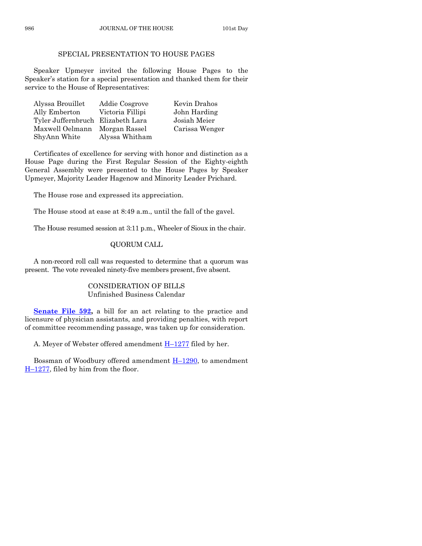#### SPECIAL PRESENTATION TO HOUSE PAGES

Speaker Upmeyer invited the following House Pages to the Speaker's station for a special presentation and thanked them for their service to the House of Representatives:

| Alyssa Brouillet                  | Addie Cosgrove   | Kevin Drahos   |
|-----------------------------------|------------------|----------------|
| Ally Emberton                     | Victoria Fillipi | John Harding   |
| Tyler Juffernbruch Elizabeth Lara |                  | Josiah Meier   |
| Maxwell Oelmann Morgan Rassel     |                  | Carissa Wenger |
| ShyAnn White                      | Alyssa Whitham   |                |

Certificates of excellence for serving with honor and distinction as a House Page during the First Regular Session of the Eighty-eighth General Assembly were presented to the House Pages by Speaker Upmeyer, Majority Leader Hagenow and Minority Leader Prichard.

The House rose and expressed its appreciation.

The House stood at ease at 8:49 a.m., until the fall of the gavel.

The House resumed session at 3:11 p.m., Wheeler of Sioux in the chair.

#### QUORUM CALL

A non-record roll call was requested to determine that a quorum was present. The vote revealed ninety-five members present, five absent.

#### CONSIDERATION OF BILLS Unfinished Business Calendar

**[Senate File 592,](https://www.legis.iowa.gov/legislation/BillBook?ga=88&ba=SF592)** a bill for an act relating to the practice and licensure of physician assistants, and providing penalties, with report of committee recommending passage, was taken up for consideration.

A. Meyer of Webster offered amendment  $H-1277$  $H-1277$  filed by her.

Bossman of Woodbury offered amendment  $H-1290$ , to amendment H–[1277,](https://www.legis.iowa.gov/legislation/BillBook?ga=88&ba=H1277) filed by him from the floor.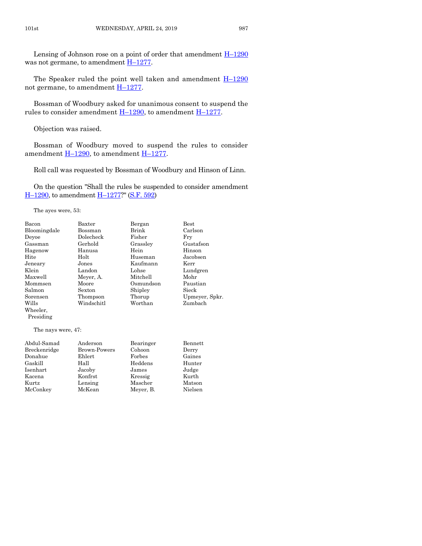Lensing of Johnson rose on a point of order that amendment  $H-1290$  $H-1290$ was not germane, to amendment  $H-1277$ .

The Speaker ruled the point well taken and amendment  $H-1290$  $H-1290$ not germane, to amendment  $H-1277$ .

Bossman of Woodbury asked for unanimous consent to suspend the rules to consider amendment  $H-1290$ , to amendment  $H-1277$ .

Objection was raised.

Bossman of Woodbury moved to suspend the rules to consider amendment  $H-1290$ , to amendment  $H-1277$ .

Roll call was requested by Bossman of Woodbury and Hinson of Linn.

On the question "Shall the rules be suspended to consider amendment H-[1290,](https://www.legis.iowa.gov/legislation/BillBook?ga=88&ba=H1290) to amendment H-[1277?](https://www.legis.iowa.gov/legislation/BillBook?ga=88&ba=H1277)" [\(S.F. 592\)](https://www.legis.iowa.gov/legislation/BillBook?ga=88&ba=SF592)

The ayes were, 53:

| Bacon        | Baxter     | Bergan    | <b>Best</b>    |
|--------------|------------|-----------|----------------|
| Bloomingdale | Bossman    | Brink     | Carlson        |
| Deyoe        | Dolecheck  | Fisher    | Fry            |
| Gassman      | Gerhold    | Grassley  | Gustafson      |
| Hagenow      | Hanusa     | Hein      | Hinson         |
| Hite         | Holt       | Huseman   | Jacobsen       |
| Jeneary      | Jones      | Kaufmann  | Kerr           |
| Klein        | Landon     | Lohse     | Lundgren       |
| Maxwell      | Meyer, A.  | Mitchell  | Mohr           |
| Mommsen      | Moore      | Osmundson | Paustian       |
| Salmon       | Sexton     | Shipley   | Sieck          |
| Sorensen     | Thompson   | Thorup    | Upmeyer, Spkr. |
| Wills        | Windschitl | Worthan   | Zumbach        |
| Wheeler,     |            |           |                |

The nays were, 47:

Presiding

| Abdul-Samad  | Anderson     | Bearinger | Bennett |
|--------------|--------------|-----------|---------|
| Breckenridge | Brown-Powers | Cohoon    | Derry   |
| Donahue      | Ehlert       | Forbes    | Gaines  |
| Gaskill      | Hall         | Heddens   | Hunter  |
| Isenhart     | Jacoby       | James     | Judge   |
| Kacena       | Konfrst      | Kressig   | Kurth   |
| Kurtz        | Lensing      | Mascher   | Matson  |
| McConkey     | McKean       | Meyer, B. | Nielsen |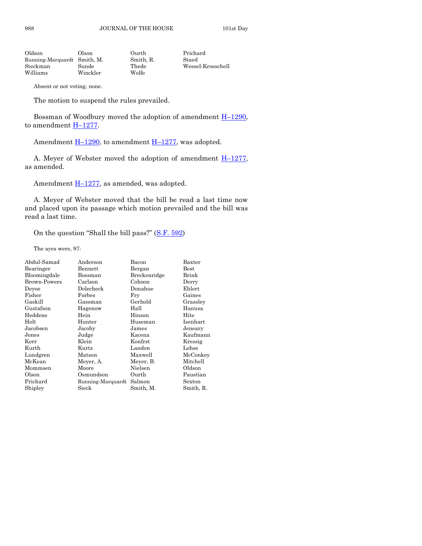988 JOURNAL OF THE HOUSE 101st Day

| Oldson                      | Olson    | Ourth     | Prichard          |
|-----------------------------|----------|-----------|-------------------|
| Running-Marquardt Smith, M. |          | Smith, R. | Staed             |
| Steckman                    | Sunde    | Thede     | Wessel-Kroeschell |
| Williams                    | Winckler | Wolfe     |                   |

Absent or not voting, none.

The motion to suspend the rules prevailed.

Bossman of Woodbury moved the adoption of amendment  $H-1290$ , to amendment  $H-1277$ .

Amendment  $\underline{H-1290}$ , to amendment  $\underline{H-1277}$ , was adopted.

A. Meyer of Webster moved the adoption of amendment  $H-1277$ , as amended.

Amendment  $H-1277$ , as amended, was adopted.

A. Meyer of Webster moved that the bill be read a last time now and placed upon its passage which motion prevailed and the bill was read a last time.

On the question "Shall the bill pass?" ([S.F. 592\)](https://www.legis.iowa.gov/legislation/BillBook?ga=88&ba=SF592)

The ayes were, 97:

| Abdul-Samad  | Anderson          | Bacon        | Baxter        |
|--------------|-------------------|--------------|---------------|
| Bearinger    | Bennett           | Bergan       | $_{\rm Best}$ |
| Bloomingdale | Bossman           | Breckenridge | Brink         |
| Brown-Powers | Carlson           | Cohoon       | Derry         |
| Deyoe        | Dolecheck         | Donahue      | Ehlert        |
| Fisher       | Forbes            | Fry          | Gaines        |
| Gaskill      | Gassman           | Gerhold      | Grassley      |
| Gustafson    | Hagenow           | Hall         | Hanusa        |
| Heddens      | Hein              | Hinson       | Hite          |
| Holt         | Hunter            | Huseman      | Isenhart      |
| Jacobsen     | Jacoby            | James        | Jeneary       |
| Jones        | Judge             | Kacena       | Kaufmann      |
| Kerr         | Klein             | Konfrst      | Kressig       |
| Kurth        | Kurtz             | Landon       | Lohse         |
| Lundgren     | Matson            | Maxwell      | McConkey      |
| McKean       | Meyer, A.         | Meyer, B.    | Mitchell      |
| Mommsen      | Moore             | Nielsen      | Oldson        |
| Olson        | Osmundson         | Ourth        | Paustian      |
| Prichard     | Running-Marquardt | Salmon       | Sexton        |
| Shipley      | Sieck             | Smith, M.    | Smith, R.     |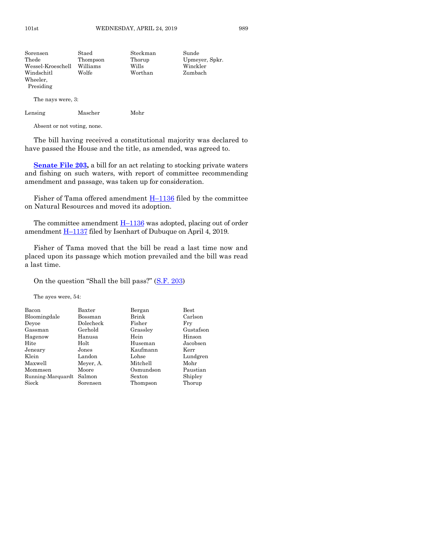| Sorensen          | Staed    | Steckman | Sunde          |
|-------------------|----------|----------|----------------|
| Thede             | Thompson | Thorup   | Upmeyer, Spkr. |
| Wessel-Kroeschell | Williams | Wills    | Winckler       |
| Windschitl        | Wolfe    | Worthan  | Zumbach        |
| Wheeler,          |          |          |                |
| Presiding         |          |          |                |

The nays were, 3:

Lensing Mascher Mohr

Absent or not voting, none.

The bill having received a constitutional majority was declared to have passed the House and the title, as amended, was agreed to.

**Senate File 203**, a bill for an act relating to stocking private waters and fishing on such waters, with report of committee recommending amendment and passage, was taken up for consideration.

Fisher of Tama offered amendment  $H-1136$  $H-1136$  filed by the committee on Natural Resources and moved its adoption.

The committee amendment  $H-1136$  $H-1136$  was adopted, placing out of order amendment H–[1137](https://www.legis.iowa.gov/legislation/BillBook?ga=88&ba=H1137) filed by Isenhart of Dubuque on April 4, 2019.

Fisher of Tama moved that the bill be read a last time now and placed upon its passage which motion prevailed and the bill was read a last time.

On the question "Shall the bill pass?" ([S.F. 203\)](https://www.legis.iowa.gov/legislation/BillBook?ga=88&ba=SF203)

The ayes were, 54:

| Bacon             | Baxter    | Bergan    | Best      |
|-------------------|-----------|-----------|-----------|
| Bloomingdale      | Bossman   | Brink     | Carlson   |
| Deyoe             | Dolecheck | Fisher    | Fry       |
| Gassman           | Gerhold   | Grassley  | Gustafson |
| Hagenow           | Hanusa    | Hein      | Hinson    |
| Hite              | Holt      | Huseman   | Jacobsen  |
| Jeneary           | Jones     | Kaufmann  | Kerr      |
| Klein             | Landon    | Lohse     | Lundgren  |
| Maxwell           | Meyer, A. | Mitchell  | Mohr      |
| Mommsen           | Moore     | Osmundson | Paustian  |
| Running-Marquardt | Salmon    | Sexton    | Shipley   |
| Sieck             | Sorensen  | Thompson  | Thorup    |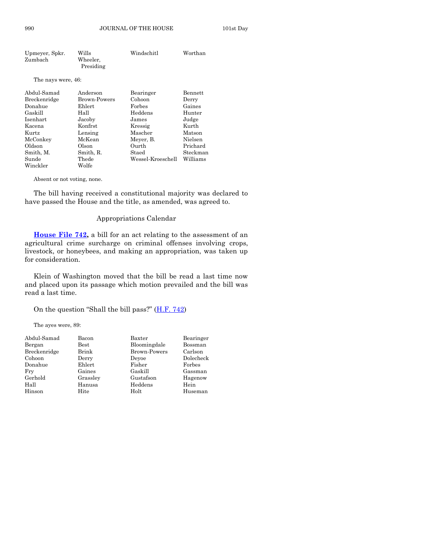| Upmeyer, Spkr.<br>Zumbach | Wills<br>Wheeler,<br>Presiding | Windschitl        | Worthan  |
|---------------------------|--------------------------------|-------------------|----------|
| The nays were, 46:        |                                |                   |          |
| Abdul-Samad               | Anderson                       | Bearinger         | Bennett  |
| Breckenridge              | Brown-Powers                   | Cohoon            | Derry    |
| Donahue                   | Ehlert                         | Forbes            | Gaines   |
| Gaskill                   | Hall                           | Heddens           | Hunter   |
| Isenhart                  | Jacoby                         | James             | Judge    |
| Kacena                    | Konfrst                        | Kressig           | Kurth    |
| Kurtz                     | Lensing                        | Mascher           | Matson   |
| McConkey                  | McKean                         | Meyer, B.         | Nielsen  |
| Oldson                    | Olson                          | Ourth             | Prichard |
| Smith, M.                 | Smith, R.                      | Staed             | Steckman |
| Sunde                     | Thede                          | Wessel-Kroeschell | Williams |
| Winckler                  | Wolfe                          |                   |          |

Absent or not voting, none.

The bill having received a constitutional majority was declared to have passed the House and the title, as amended, was agreed to.

#### Appropriations Calendar

**[House File 742,](https://www.legis.iowa.gov/legislation/BillBook?ga=88&ba=HF742)** a bill for an act relating to the assessment of an agricultural crime surcharge on criminal offenses involving crops, livestock, or honeybees, and making an appropriation, was taken up for consideration.

Klein of Washington moved that the bill be read a last time now and placed upon its passage which motion prevailed and the bill was read a last time.

On the question "Shall the bill pass?" ([H.F. 742\)](https://www.legis.iowa.gov/legislation/BillBook?ga=88&ba=HF742)

The ayes were, 89:

| Abdul-Samad  | Bacon         | Baxter              | Bearinger |
|--------------|---------------|---------------------|-----------|
| Bergan       | $_{\rm Best}$ | Bloomingdale        | Bossman   |
| Breckenridge | Brink         | <b>Brown-Powers</b> | Carlson   |
| Cohoon       | Derry         | Devoe               | Dolecheck |
| Donahue      | Ehlert        | Fisher              | Forbes    |
| Fry          | Gaines        | Gaskill             | Gassman   |
| Gerhold      | Grassley      | Gustafson           | Hagenow   |
| Hall         | Hanusa        | Heddens             | Hein      |
| Hinson       | Hite          | Holt                | Huseman   |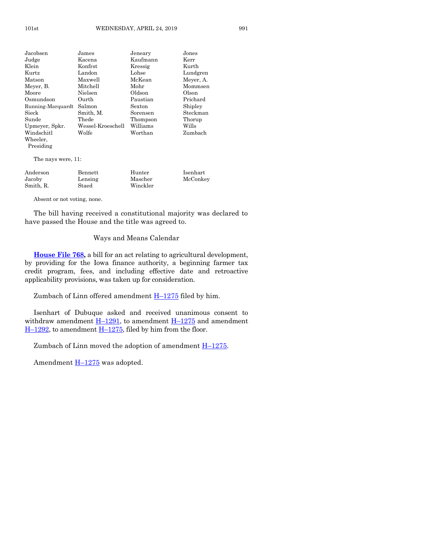| Jacobsen          | James             | Jeneary  | Jones     |
|-------------------|-------------------|----------|-----------|
| Judge             | Kacena            | Kaufmann | Kerr      |
| Klein             | Konfrst           | Kressig  | Kurth     |
| Kurtz             | Landon            | Lohse    | Lundgren  |
| Matson            | Maxwell           | McKean   | Meyer, A. |
| Mever, B.         | Mitchell          | Mohr     | Mommsen   |
| Moore             | Nielsen           | Oldson   | Olson     |
| Osmundson         | Ourth             | Paustian | Prichard  |
| Running-Marquardt | Salmon            | Sexton   | Shipley   |
| Sieck             | Smith, M.         | Sorensen | Steckman  |
| Sunde             | Thede             | Thompson | Thorup    |
| Upmeyer, Spkr.    | Wessel-Kroeschell | Williams | Wills     |
| Windschitl        | Wolfe             | Worthan  | Zumbach   |
| Wheeler.          |                   |          |           |
| Presiding         |                   |          |           |
|                   |                   |          |           |

The nays were, 11:

| Anderson  | Bennett | Hunter   | Isenhart |
|-----------|---------|----------|----------|
| Jacoby    | Lensing | Mascher  | McConkey |
| Smith, R. | Staed   | Winckler |          |

Absent or not voting, none.

The bill having received a constitutional majority was declared to have passed the House and the title was agreed to.

#### Ways and Means Calendar

**[House File 768,](https://www.legis.iowa.gov/legislation/BillBook?ga=88&ba=HF768)** a bill for an act relating to agricultural development, by providing for the Iowa finance authority, a beginning farmer tax credit program, fees, and including effective date and retroactive applicability provisions, was taken up for consideration.

Zumbach of Linn offered amendment  $H-1275$  $H-1275$  filed by him.

Isenhart of Dubuque asked and received unanimous consent to withdraw amendment  $\underline{H-1291}$ , to amendment  $\underline{H-1275}$  $\underline{H-1275}$  $\underline{H-1275}$  and amendment  $H-1292$ , to amendment  $H-1275$ , filed by him from the floor.

Zumbach of Linn moved the adoption of amendment H–[1275.](https://www.legis.iowa.gov/legislation/BillBook?ga=88&ba=H1275)

Amendment  $H-1275$  $H-1275$  was adopted.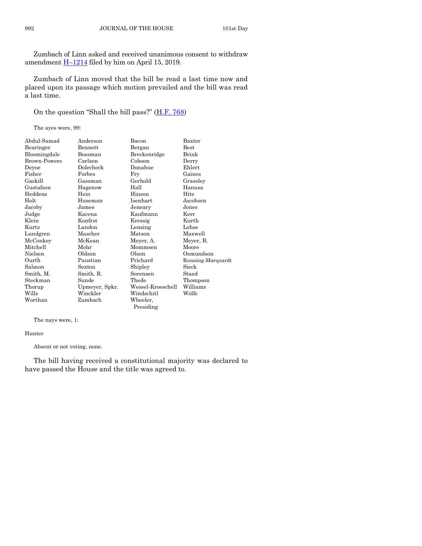Zumbach of Linn asked and received unanimous consent to withdraw amendment  $\underline{H-1214}$  $\underline{H-1214}$  $\underline{H-1214}$  filed by him on April 15, 2019.

Zumbach of Linn moved that the bill be read a last time now and placed upon its passage which motion prevailed and the bill was read a last time.

On the question "Shall the bill pass?" ([H.F. 768\)](https://www.legis.iowa.gov/legislation/BillBook?ga=88&ba=HF768)

The ayes were, 99:

| Abdul-Samad  | Anderson       | Bacon             | ${\rm Baxter}$    |
|--------------|----------------|-------------------|-------------------|
| Bearinger    | Bennett        | Bergan            | Best              |
| Bloomingdale | Bossman        | Breckenridge      | Brink             |
| Brown-Powers | Carlson        | Cohoon            | Derry             |
| Deyoe        | Dolecheck      | Donahue           | Ehlert            |
| Fisher       | Forbes         | Fry               | Gaines            |
| Gaskill      | Gassman        | Gerhold           | Grassley          |
| Gustafson    | Hagenow        | Hall              | Hanusa            |
| Heddens      | Hein           | Hinson            | Hite              |
| Holt         | Huseman        | Isenhart          | Jacobsen          |
| Jacoby       | James          | Jeneary           | Jones             |
| Judge        | Kacena         | Kaufmann          | Kerr              |
| Klein        | Konfrst        | Kressig           | Kurth             |
| Kurtz        | Landon         | Lensing           | Lohse             |
| Lundgren     | Mascher        | Matson            | Maxwell           |
| McConkey     | McKean         | Meyer, A.         | Meyer, B.         |
| Mitchell     | Mohr           | Mommsen           | Moore             |
| Nielsen      | Oldson         | Olson             | Osmundson         |
| Ourth        | Paustian       | Prichard          | Running-Marquardt |
| Salmon       | Sexton         | Shipley           | Sieck             |
| Smith, M.    | Smith, R.      | Sorensen          | Staed             |
| Steckman     | Sunde          | Thede             | Thompson          |
| Thorup       | Upmeyer, Spkr. | Wessel-Kroeschell | Williams          |
| Wills        | Winckler       | Windschitl        | Wolfe             |
| Worthan      | Zumbach        | Wheeler,          |                   |
|              |                | Presiding         |                   |

The nays were, 1:

#### Hunter

Absent or not voting, none.

The bill having received a constitutional majority was declared to have passed the House and the title was agreed to.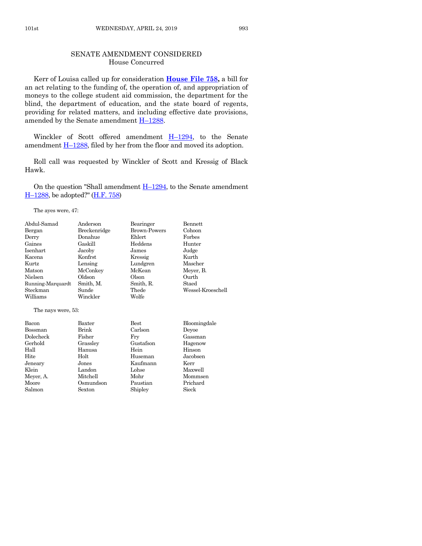#### SENATE AMENDMENT CONSIDERED House Concurred

Kerr of Louisa called up for consideration **[House File 758,](https://www.legis.iowa.gov/legislation/BillBook?ga=88&ba=HF758)** a bill for an act relating to the funding of, the operation of, and appropriation of moneys to the college student aid commission, the department for the blind, the department of education, and the state board of regents, providing for related matters, and including effective date provisions, amended by the Senate amendment  $H-1288$ .

Winckler of Scott offered amendment H–[1294,](https://www.legis.iowa.gov/legislation/BillBook?ga=88&ba=H1294) to the Senate amendment  $\underline{H-1288}$ , filed by her from the floor and moved its adoption.

Roll call was requested by Winckler of Scott and Kressig of Black Hawk.

On the question "Shall amendment  $H-1294$ , to the Senate amendment H–[1288,](https://www.legis.iowa.gov/legislation/BillBook?ga=88&ba=H1288) be adopted?" [\(H.F. 758\)](https://www.legis.iowa.gov/legislation/BillBook?ga=88&ba=HF758)

The ayes were, 47:

| Abdul-Samad        | Anderson     | Bearinger           | Bennett           |
|--------------------|--------------|---------------------|-------------------|
| Bergan             | Breckenridge | <b>Brown-Powers</b> | Cohoon            |
| Derry              | Donahue      | Ehlert              | Forbes            |
| Gaines             | Gaskill      | Heddens             | Hunter            |
| Isenhart           | Jacoby       | James               | Judge             |
| Kacena             | Konfrst      | Kressig             | Kurth             |
| Kurtz              | Lensing      | Lundgren            | Mascher           |
| Matson             | McConkey     | McKean              | Meyer, B.         |
| Nielsen            | Oldson       | Olson               | Ourth             |
| Running-Marquardt  | Smith, M.    | Smith, R.           | Staed             |
| Steckman           | Sunde        | Thede               | Wessel-Kroeschell |
| Williams           | Winckler     | Wolfe               |                   |
| The nays were, 53: |              |                     |                   |
| Bacon              | Baxter       | <b>Best</b>         | Bloomingdale      |
| Bossman            | Brink        | Carlson             | Deyoe             |
| Dolecheck          | Fisher       | Fry                 | Gassman           |
| Gerhold            | Grassley     | Gustafson           | Hagenow           |
| Hall               | Hanusa       | Hein                | Hinson            |
| Hite               | Holt         | Huseman             | Jacobsen          |
| Jeneary            | Jones        | Kaufmann            | Kerr              |
| Klein              | Landon       | Lohse               | Maxwell           |
| Meyer, A.          | Mitchell     | Mohr                | Mommsen           |
| Moore              | Osmundson    | Paustian            | Prichard          |
| Salmon             | Sexton       | Shipley             | Sieck             |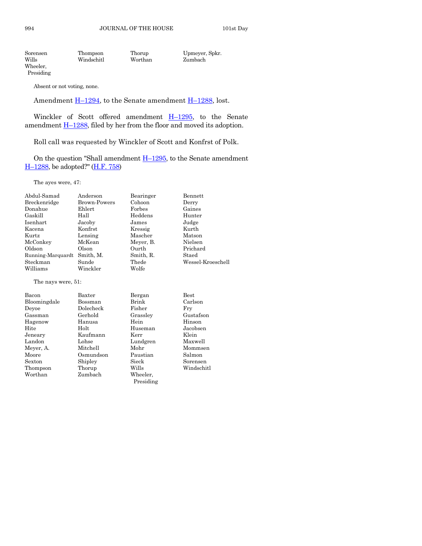Sorensen Thompson Thorup Upmeyer, Spkr. Wills Windschitl Worthan Zumbach Wheeler, Presiding

Absent or not voting, none.

Amendment  $\underline{H-1294}$ , to the Senate amendment  $\underline{H-1288}$ , lost.

Winckler of Scott offered amendment  $H-1295$ , to the Senate amendment  $\underline{H-1288}$ , filed by her from the floor and moved its adoption.

Roll call was requested by Winckler of Scott and Konfrst of Polk.

On the question "Shall amendment  $H-1295$ , to the Senate amendment H–[1288,](https://www.legis.iowa.gov/legislation/BillBook?ga=88&ba=H1288) be adopted?" [\(H.F. 758\)](https://www.legis.iowa.gov/legislation/BillBook?ga=88&ba=HF758)

The ayes were, 47:

| Abdul-Samad       | Anderson            | Bearinger | Bennett           |
|-------------------|---------------------|-----------|-------------------|
| Breckenridge      | <b>Brown-Powers</b> | Cohoon    | Derry             |
| Donahue           | Ehlert              | Forbes    | Gaines            |
| Gaskill           | Hall                | Heddens   | Hunter            |
| Isenhart          | Jacoby              | James     | Judge             |
| Kacena            | Konfrst             | Kressig   | Kurth             |
| Kurtz             | Lensing             | Mascher   | Matson            |
| McConkey          | McKean              | Meyer, B. | Nielsen           |
| Oldson            | Olson               | Ourth     | Prichard          |
| Running-Marquardt | Smith, M.           | Smith, R. | Staed             |
| Steckman          | Sunde               | Thede     | Wessel-Kroeschell |
| Williams          | Winckler            | Wolfe     |                   |

The nays were, 51:

| Bacon        | Baxter    | Bergan    | <b>Best</b> |
|--------------|-----------|-----------|-------------|
| Bloomingdale | Bossman   | Brink     | Carlson     |
| Deyoe        | Dolecheck | Fisher    | Frv         |
| Gassman      | Gerhold   | Grassley  | Gustafson   |
| Hagenow      | Hanusa    | Hein      | Hinson      |
| Hite         | Holt      | Huseman   | Jacobsen    |
| Jeneary      | Kaufmann  | Kerr      | Klein       |
| Landon       | Lohse     | Lundgren  | Maxwell     |
| Meyer, A.    | Mitchell  | Mohr      | Mommsen     |
| Moore        | Osmundson | Paustian  | Salmon      |
| Sexton       | Shipley   | Sieck     | Sorensen    |
| Thompson     | Thorup    | Wills     | Windschitl  |
| Worthan      | Zumbach   | Wheeler,  |             |
|              |           | Presiding |             |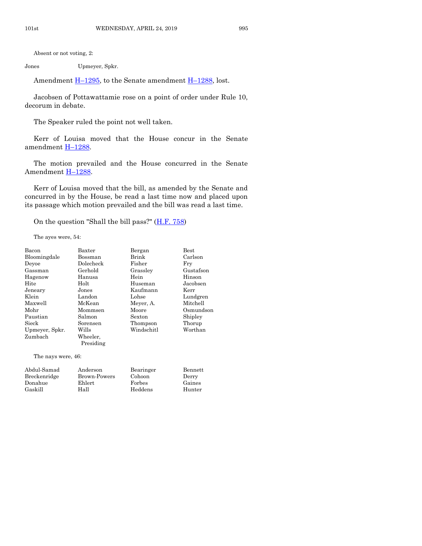Absent or not voting, 2:

Jones Upmeyer, Spkr.

Amendment  $\underline{H-1295}$ , to the Senate amendment  $\underline{H-1288}$ , lost.

Jacobsen of Pottawattamie rose on a point of order under Rule 10, decorum in debate.

The Speaker ruled the point not well taken.

Kerr of Louisa moved that the House concur in the Senate amendment H-[1288.](https://www.legis.iowa.gov/legislation/BillBook?ga=88&ba=H1288)

The motion prevailed and the House concurred in the Senate Amendment H–[1288.](https://www.legis.iowa.gov/legislation/BillBook?ga=88&ba=H1288)

Kerr of Louisa moved that the bill, as amended by the Senate and concurred in by the House, be read a last time now and placed upon its passage which motion prevailed and the bill was read a last time.

On the question "Shall the bill pass?"  $(H.F. 758)$ 

The ayes were, 54:

| <b>Bacon</b>       | Baxter    | Bergan     | Best      |
|--------------------|-----------|------------|-----------|
| Bloomingdale       | Bossman   | Brink      | Carlson   |
| Deyoe              | Dolecheck | Fisher     | Fry       |
| Gassman            | Gerhold   | Grassley   | Gustafson |
| Hagenow            | Hanusa    | Hein       | Hinson    |
| Hite               | Holt      | Huseman    | Jacobsen  |
| Jeneary            | Jones     | Kaufmann   | Kerr      |
| Klein              | Landon    | Lohse      | Lundgren  |
| Maxwell            | McKean    | Meyer, A.  | Mitchell  |
| Mohr               | Mommsen   | Moore      | Osmundson |
| Paustian           | Salmon    | Sexton     | Shipley   |
| Sieck              | Sorensen  | Thompson   | Thorup    |
| Upmeyer, Spkr.     | Wills     | Windschitl | Worthan   |
| Zumbach            | Wheeler,  |            |           |
|                    | Presiding |            |           |
| The nays were, 46: |           |            |           |
|                    |           |            |           |

| Abdul-Samad  | Anderson     | Bearinger | Bennett |
|--------------|--------------|-----------|---------|
| Breckenridge | Brown-Powers | Cohoon    | Derry   |
| Donahue      | Ehlert       | Forbes    | Gaines  |
| Gaskill      | Hall         | Heddens   | Hunter  |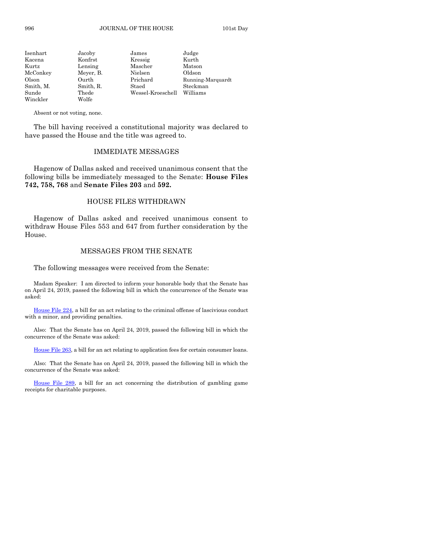| Isenhart  | Jacoby    | James             | Judge             |
|-----------|-----------|-------------------|-------------------|
| Kacena    | Konfrst   | Kressig           | Kurth             |
| Kurtz     | Lensing   | Mascher           | Matson            |
| McConkey  | Meyer, B. | Nielsen           | Oldson            |
| Olson     | Ourth     | Prichard          | Running-Marquardt |
| Smith, M. | Smith, R. | Staed             | Steckman          |
| Sunde     | Thede     | Wessel-Kroeschell | Williams          |
| Winckler  | Wolfe     |                   |                   |

Absent or not voting, none.

The bill having received a constitutional majority was declared to have passed the House and the title was agreed to.

#### IMMEDIATE MESSAGES

Hagenow of Dallas asked and received unanimous consent that the following bills be immediately messaged to the Senate: **House Files 742, 758, 768** and **Senate Files 203** and **592.**

#### HOUSE FILES WITHDRAWN

Hagenow of Dallas asked and received unanimous consent to withdraw House Files 553 and 647 from further consideration by the House.

#### MESSAGES FROM THE SENATE

The following messages were received from the Senate:

Madam Speaker: I am directed to inform your honorable body that the Senate has on April 24, 2019, passed the following bill in which the concurrence of the Senate was asked:

[House File 224,](https://www.legis.iowa.gov/legislation/BillBook?ga=88&ba=HF224) a bill for an act relating to the criminal offense of lascivious conduct with a minor, and providing penalties.

Also: That the Senate has on April 24, 2019, passed the following bill in which the concurrence of the Senate was asked:

[House File 263,](https://www.legis.iowa.gov/legislation/BillBook?ga=88&ba=HF263) a bill for an act relating to application fees for certain consumer loans.

Also: That the Senate has on April 24, 2019, passed the following bill in which the concurrence of the Senate was asked:

[House File 289,](https://www.legis.iowa.gov/legislation/BillBook?ga=88&ba=HF289) a bill for an act concerning the distribution of gambling game receipts for charitable purposes.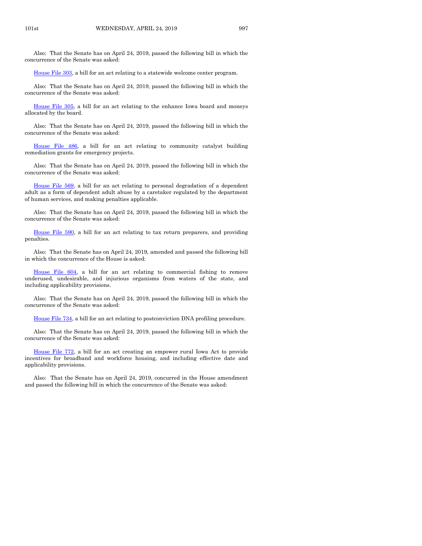Also: That the Senate has on April 24, 2019, passed the following bill in which the concurrence of the Senate was asked:

[House File 303,](https://www.legis.iowa.gov/legislation/BillBook?ga=88&ba=HF303) a bill for an act relating to a statewide welcome center program.

Also: That the Senate has on April 24, 2019, passed the following bill in which the concurrence of the Senate was asked:

[House File 305,](https://www.legis.iowa.gov/legislation/BillBook?ga=88&ba=HF305) a bill for an act relating to the enhance Iowa board and moneys allocated by the board.

Also: That the Senate has on April 24, 2019, passed the following bill in which the concurrence of the Senate was asked:

[House File 486,](https://www.legis.iowa.gov/legislation/BillBook?ga=88&ba=HF486) a bill for an act relating to community catalyst building remediation grants for emergency projects.

Also: That the Senate has on April 24, 2019, passed the following bill in which the concurrence of the Senate was asked:

[House File 569,](https://www.legis.iowa.gov/legislation/BillBook?ga=88&ba=HF569) a bill for an act relating to personal degradation of a dependent adult as a form of dependent adult abuse by a caretaker regulated by the department of human services, and making penalties applicable.

Also: That the Senate has on April 24, 2019, passed the following bill in which the concurrence of the Senate was asked:

[House File 590,](https://www.legis.iowa.gov/legislation/BillBook?ga=88&ba=HF590) a bill for an act relating to tax return preparers, and providing penalties.

Also: That the Senate has on April 24, 2019, amended and passed the following bill in which the concurrence of the House is asked:

[House File 604,](https://www.legis.iowa.gov/legislation/BillBook?ga=88&ba=HF604) a bill for an act relating to commercial fishing to remove underused, undesirable, and injurious organisms from waters of the state, and including applicability provisions.

Also: That the Senate has on April 24, 2019, passed the following bill in which the concurrence of the Senate was asked:

[House File 734,](https://www.legis.iowa.gov/legislation/BillBook?ga=88&ba=HF734) a bill for an act relating to postconviction DNA profiling procedure.

Also: That the Senate has on April 24, 2019, passed the following bill in which the concurrence of the Senate was asked:

[House File 772,](https://www.legis.iowa.gov/legislation/BillBook?ga=88&ba=HF772) a bill for an act creating an empower rural Iowa Act to provide incentives for broadband and workforce housing, and including effective date and applicability provisions.

Also: That the Senate has on April 24, 2019, concurred in the House amendment and passed the following bill in which the concurrence of the Senate was asked: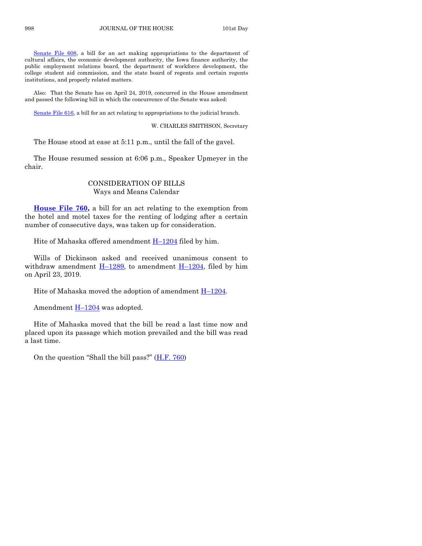[Senate File 608,](https://www.legis.iowa.gov/legislation/BillBook?ga=88&ba=SF608) a bill for an act making appropriations to the department of cultural affairs, the economic development authority, the Iowa finance authority, the public employment relations board, the department of workforce development, the college student aid commission, and the state board of regents and certain regents institutions, and properly related matters.

Also: That the Senate has on April 24, 2019, concurred in the House amendment and passed the following bill in which the concurrence of the Senate was asked:

[Senate File 616,](https://www.legis.iowa.gov/legislation/BillBook?ga=88&ba=SF616) a bill for an act relating to appropriations to the judicial branch.

W. CHARLES SMITHSON, Secretary

The House stood at ease at 5:11 p.m., until the fall of the gavel.

The House resumed session at 6:06 p.m., Speaker Upmeyer in the chair.

#### CONSIDERATION OF BILLS Ways and Means Calendar

**[House File 760,](https://www.legis.iowa.gov/legislation/BillBook?ga=88&ba=HF760)** a bill for an act relating to the exemption from the hotel and motel taxes for the renting of lodging after a certain number of consecutive days, was taken up for consideration.

Hite of Mahaska offered amendment  $H-1204$  $H-1204$  filed by him.

Wills of Dickinson asked and received unanimous consent to withdraw amendment  $H-1289$ , to amendment  $H-1204$ , filed by him on April 23, 2019.

Hite of Mahaska moved the adoption of amendment  $H-1204$ .

Amendment H–[1204](https://www.legis.iowa.gov/legislation/BillBook?ga=88&ba=H1204) was adopted.

Hite of Mahaska moved that the bill be read a last time now and placed upon its passage which motion prevailed and the bill was read a last time.

On the question "Shall the bill pass?" [\(H.F. 760\)](https://www.legis.iowa.gov/legislation/BillBook?ga=88&ba=HF760)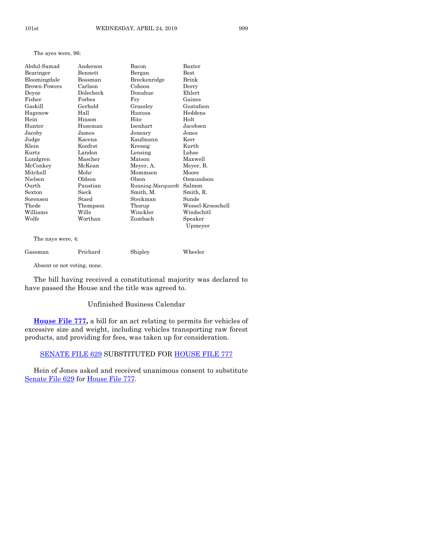The ayes were, 96:

| Abdul-Samad         | Anderson  | Bacon             | Baxter             |
|---------------------|-----------|-------------------|--------------------|
| Bearinger           | Bennett   | Bergan            | Best               |
| Bloomingdale        | Bossman   | Breckenridge      | Brink              |
| <b>Brown-Powers</b> | Carlson   | Cohoon            | Derry              |
| Deyoe               | Dolecheck | Donahue           | Ehlert             |
| Fisher              | Forbes    | Fry               | Gaines             |
| Gaskill             | Gerhold   | Grassley          | Gustafson          |
| Hagenow             | Hall      | Hanusa            | Heddens            |
| Hein                | Hinson    | Hite              | Holt               |
| Hunter              | Huseman   | Isenhart          | Jacobsen           |
| Jacoby              | James     | Jeneary           | Jones              |
| Judge               | Kacena    | Kaufmann          | Kerr               |
| Klein               | Konfrst   | Kressig           | Kurth              |
| Kurtz               | Landon    | Lensing           | Lohse              |
| Lundgren            | Mascher   | Matson            | Maxwell            |
| McConkey            | McKean    | Meyer, A.         | Meyer, B.          |
| Mitchell            | Mohr      | Mommsen           | Moore              |
| Nielsen             | Oldson    | Olson             | Osmundson          |
| Ourth               | Paustian  | Running-Marquardt | Salmon             |
| Sexton              | Sieck     | Smith, M.         | Smith, R.          |
| Sorensen            | Staed     | Steckman          | Sunde              |
| Thede               | Thompson  | Thorup            | Wessel-Kroeschell  |
| Williams            | Wills     | Winckler          | Windschitl         |
| Wolfe               | Worthan   | Zumbach           | Speaker<br>Upmeyer |
|                     |           |                   |                    |

The nays were, 4:

| Gassman | Prichard | Shipley | Wheeler |
|---------|----------|---------|---------|
|         |          |         |         |

Absent or not voting, none.

The bill having received a constitutional majority was declared to have passed the House and the title was agreed to.

#### Unfinished Business Calendar

**[House File 777,](https://www.legis.iowa.gov/legislation/BillBook?ga=88&ba=HF777)** a bill for an act relating to permits for vehicles of excessive size and weight, including vehicles transporting raw forest products, and providing for fees, was taken up for consideration.

#### [SENATE FILE 629](https://www.legis.iowa.gov/legislation/BillBook?ga=88&ba=SF629) SUBSTITUTED FOR [HOUSE FILE 777](https://www.legis.iowa.gov/legislation/BillBook?ga=88&ba=HF777)

Hein of Jones asked and received unanimous consent to substitute [Senate File 629](https://www.legis.iowa.gov/legislation/BillBook?ga=88&ba=SF629) for [House File 777.](https://www.legis.iowa.gov/legislation/BillBook?ga=88&ba=HF777)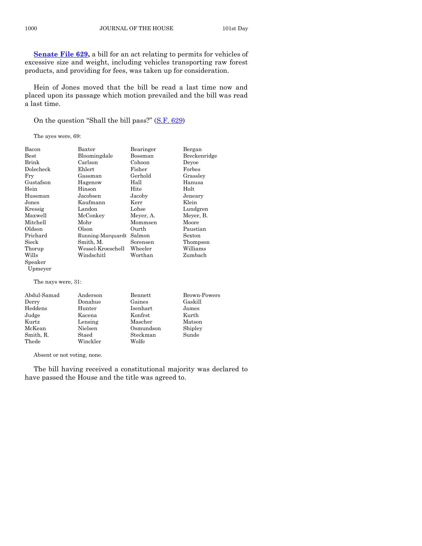**[Senate File 629,](https://www.legis.iowa.gov/legislation/BillBook?ga=88&ba=SF629)** a bill for an act relating to permits for vehicles of excessive size and weight, including vehicles transporting raw forest products, and providing for fees, was taken up for consideration.

Hein of Jones moved that the bill be read a last time now and placed upon its passage which motion prevailed and the bill was read a last time.

On the question "Shall the bill pass?" [\(S.F. 629\)](https://www.legis.iowa.gov/legislation/BillBook?ga=88&ba=SF629)

The ayes were, 69:

| Bacon              | Baxter            | Bearinger | Bergan       |
|--------------------|-------------------|-----------|--------------|
| $_{\rm Best}$      | Bloomingdale      | Bossman   | Breckenridge |
| Brink              | Carlson           | Cohoon    | Devoe        |
| Dolecheck          | Ehlert            | Fisher    | Forbes       |
| Fry                | Gassman           | Gerhold   | Grassley     |
| Gustafson          | Hagenow           | Hall      | Hanusa       |
| Hein               | Hinson            | Hite      | Holt         |
| Huseman            | Jacobsen          | Jacoby    | Jeneary      |
| Jones              | Kaufmann          | Kerr      | Klein        |
| Kressig            | Landon            | Lohse     | Lundgren     |
| Maxwell            | McConkey          | Meyer, A. | Meyer, B.    |
| Mitchell           | Mohr              | Mommsen   | Moore        |
| Oldson             | Olson             | Ourth     | Paustian     |
| Prichard           | Running-Marquardt | Salmon    | Sexton       |
| Sieck              | Smith, M.         | Sorensen  | Thompson     |
| Thorup             | Wessel-Kroeschell | Wheeler   | Williams     |
| Wills              | Windschitl        | Worthan   | Zumbach      |
| Speaker            |                   |           |              |
| Upmeyer            |                   |           |              |
| The nays were, 31: |                   |           |              |

| Abdul-Samad | Anderson | Bennett   | Brown-Powers |
|-------------|----------|-----------|--------------|
| Derry       | Donahue  | Gaines    | Gaskill      |
| Heddens     | Hunter   | Isenhart  | James        |
| Judge       | Kacena   | Konfrst   | Kurth        |
| Kurtz       | Lensing  | Mascher   | Matson       |
| McKean      | Nielsen  | Osmundson | Shipley      |
| Smith, R.   | Staed    | Steckman  | Sunde        |
| Thede       | Winckler | Wolfe     |              |

Absent or not voting, none.

The bill having received a constitutional majority was declared to have passed the House and the title was agreed to.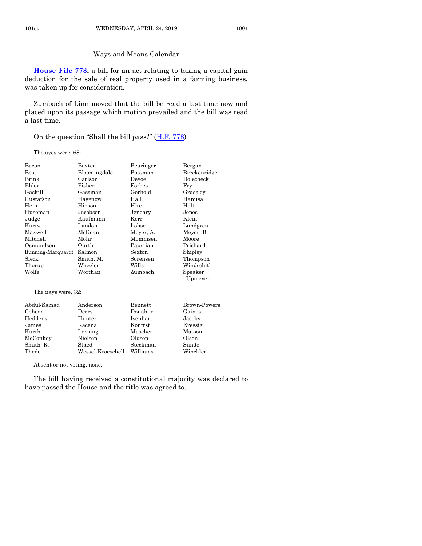#### Ways and Means Calendar

**[House File 778,](https://www.legis.iowa.gov/legislation/BillBook?ga=88&ba=HF778)** a bill for an act relating to taking a capital gain deduction for the sale of real property used in a farming business, was taken up for consideration.

Zumbach of Linn moved that the bill be read a last time now and placed upon its passage which motion prevailed and the bill was read a last time.

On the question "Shall the bill pass?"  $(H.F. 778)$  $(H.F. 778)$ 

The ayes were, 68:

| Bacon              | Baxter       | Bearinger      | Bergan       |
|--------------------|--------------|----------------|--------------|
| Best               | Bloomingdale | Bossman        | Breckenridge |
| Brink              | Carlson      | Deyoe          | Dolecheck    |
| Ehlert             | Fisher       | Forbes         | Fry          |
| Gaskill            | Gassman      | Gerhold        | Grassley     |
| Gustafson          | Hagenow      | Hall           | Hanusa       |
| Hein               | Hinson       | Hite           | Holt         |
| Huseman            | Jacobsen     | Jeneary        | Jones        |
| Judge              | Kaufmann     | Kerr           | Klein        |
| Kurtz              | Landon       | Lohse          | Lundgren     |
| Maxwell            | McKean       | Meyer, A.      | Meyer, B.    |
| Mitchell           | Mohr         | Mommsen        | Moore        |
| Osmundson          | Ourth        | Paustian       | Prichard     |
| Running-Marquardt  | Salmon       | Sexton         | Shipley      |
| Sieck              | Smith, M.    | Sorensen       | Thompson     |
| Thorup             | Wheeler      | Wills          | Windschitl   |
| Wolfe              | Worthan      | Zumbach        | Speaker      |
|                    |              |                | Upmeyer      |
| The nays were, 32: |              |                |              |
| Abdul-Samad        | Anderson     | <b>Bennett</b> | Brown-Powers |
| Cohoon             | Derry        | Donahue        | Gaines       |
| Heddens            | Hunter       | Isenhart       | Jacoby       |
| James              | Kacena       | Konfrst        | Kressig      |
| Kurth              | Lensing      | Mascher        | Matson       |

Absent or not voting, none.

Lensing

McConkey Nielsen Oldson Olson Smith, R. Staed Steckman Sunde Thede Wessel-Kroeschell Williams Winckler

The bill having received a constitutional majority was declared to have passed the House and the title was agreed to.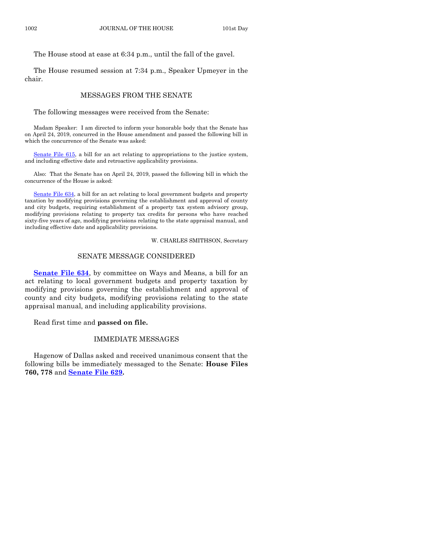The House stood at ease at 6:34 p.m., until the fall of the gavel.

The House resumed session at 7:34 p.m., Speaker Upmeyer in the chair.

#### MESSAGES FROM THE SENATE

The following messages were received from the Senate:

Madam Speaker: I am directed to inform your honorable body that the Senate has on April 24, 2019, concurred in the House amendment and passed the following bill in which the concurrence of the Senate was asked:

[Senate File 615,](https://www.legis.iowa.gov/legislation/BillBook?ga=88&ba=SF615) a bill for an act relating to appropriations to the justice system, and including effective date and retroactive applicability provisions.

Also: That the Senate has on April 24, 2019, passed the following bill in which the concurrence of the House is asked:

[Senate File 634,](https://www.legis.iowa.gov/legislation/BillBook?ga=88&ba=SF634) a bill for an act relating to local government budgets and property taxation by modifying provisions governing the establishment and approval of county and city budgets, requiring establishment of a property tax system advisory group, modifying provisions relating to property tax credits for persons who have reached sixty-five years of age, modifying provisions relating to the state appraisal manual, and including effective date and applicability provisions.

W. CHARLES SMITHSON, Secretary

#### SENATE MESSAGE CONSIDERED

**[Senate File 634](https://www.legis.iowa.gov/legislation/BillBook?ga=88&ba=SF634)**, by committee on Ways and Means, a bill for an act relating to local government budgets and property taxation by modifying provisions governing the establishment and approval of county and city budgets, modifying provisions relating to the state appraisal manual, and including applicability provisions.

Read first time and **passed on file.**

#### IMMEDIATE MESSAGES

Hagenow of Dallas asked and received unanimous consent that the following bills be immediately messaged to the Senate: **House Files 760, 778** and **[Senate File 629.](https://www.legis.iowa.gov/legislation/BillBook?ga=88&ba=SF629)**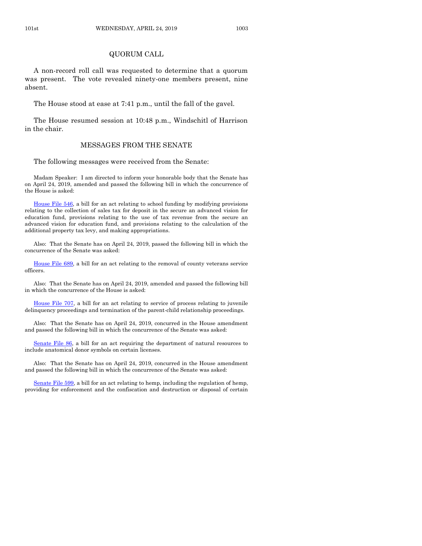#### QUORUM CALL

A non-record roll call was requested to determine that a quorum was present. The vote revealed ninety-one members present, nine absent.

The House stood at ease at 7:41 p.m., until the fall of the gavel.

The House resumed session at 10:48 p.m., Windschitl of Harrison in the chair.

#### MESSAGES FROM THE SENATE

The following messages were received from the Senate:

Madam Speaker: I am directed to inform your honorable body that the Senate has on April 24, 2019, amended and passed the following bill in which the concurrence of the House is asked:

[House File 546,](https://www.legis.iowa.gov/legislation/BillBook?ga=88&ba=HF546) a bill for an act relating to school funding by modifying provisions relating to the collection of sales tax for deposit in the secure an advanced vision for education fund, provisions relating to the use of tax revenue from the secure an advanced vision for education fund, and provisions relating to the calculation of the additional property tax levy, and making appropriations.

Also: That the Senate has on April 24, 2019, passed the following bill in which the concurrence of the Senate was asked:

[House File 689,](https://www.legis.iowa.gov/legislation/BillBook?ga=88&ba=HF689) a bill for an act relating to the removal of county veterans service officers.

Also: That the Senate has on April 24, 2019, amended and passed the following bill in which the concurrence of the House is asked:

[House File 707,](https://www.legis.iowa.gov/legislation/BillBook?ga=88&ba=HF707) a bill for an act relating to service of process relating to juvenile delinquency proceedings and termination of the parent-child relationship proceedings.

Also: That the Senate has on April 24, 2019, concurred in the House amendment and passed the following bill in which the concurrence of the Senate was asked:

[Senate File 86,](https://www.legis.iowa.gov/legislation/BillBook?ga=88&ba=SF86) a bill for an act requiring the department of natural resources to include anatomical donor symbols on certain licenses.

Also: That the Senate has on April 24, 2019, concurred in the House amendment and passed the following bill in which the concurrence of the Senate was asked:

[Senate File 599,](https://www.legis.iowa.gov/legislation/BillBook?ga=88&ba=SF599) a bill for an act relating to hemp, including the regulation of hemp, providing for enforcement and the confiscation and destruction or disposal of certain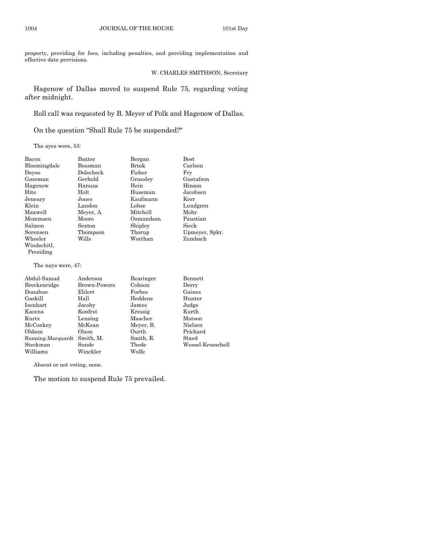property, providing for fees, including penalties, and providing implementation and effective date provisions.

#### W. CHARLES SMITHSON, Secretary

Hagenow of Dallas moved to suspend Rule 75, regarding voting after midnight.

Roll call was requested by B. Meyer of Polk and Hagenow of Dallas.

On the question "Shall Rule 75 be suspended?"

The ayes were, 53:

| Bacon              | Baxter    | Bergan    | Best           |
|--------------------|-----------|-----------|----------------|
| Bloomingdale       | Bossman   | Brink     | Carlson        |
| Devoe              | Dolecheck | Fisher    | Frv            |
| Gassman            | Gerhold   | Grassley  | Gustafson      |
| Hagenow            | Hanusa    | Hein      | Hinson         |
| Hite               | Holt      | Huseman   | Jacobsen       |
| Jeneary            | Jones     | Kaufmann  | Kerr           |
| Klein              | Landon    | Lohse     | Lundgren       |
| Maxwell            | Meyer, A. | Mitchell  | Mohr           |
| Mommsen            | Moore     | Osmundson | Paustian       |
| Salmon             | Sexton    | Shipley   | Sieck          |
| Sorensen           | Thompson  | Thorup    | Upmeyer, Spkr. |
| Wheeler            | Wills     | Worthan   | Zumbach        |
| Windschitl,        |           |           |                |
| Presiding          |           |           |                |
| The nays were, 47: |           |           |                |

| Abdul-Samad       | Anderson     | Bearinger | Bennett           |
|-------------------|--------------|-----------|-------------------|
| Breckenridge      | Brown-Powers | Cohoon    | Derry             |
| Donahue           | Ehlert       | Forbes    | Gaines            |
| Gaskill           | Hall         | Heddens   | Hunter            |
| Isenhart          | Jacoby       | James     | Judge             |
| Kacena            | Konfrst      | Kressig   | Kurth             |
| Kurtz             | Lensing      | Mascher   | Matson            |
| McConkey          | McKean       | Meyer, B. | Nielsen           |
| Oldson            | Olson        | Ourth     | Prichard          |
| Running-Marquardt | Smith, M.    | Smith, R. | Staed             |
| Steckman          | Sunde        | Thede     | Wessel-Kroeschell |
| Williams          | Winckler     | Wolfe     |                   |
|                   |              |           |                   |

Absent or not voting, none.

The motion to suspend Rule 75 prevailed.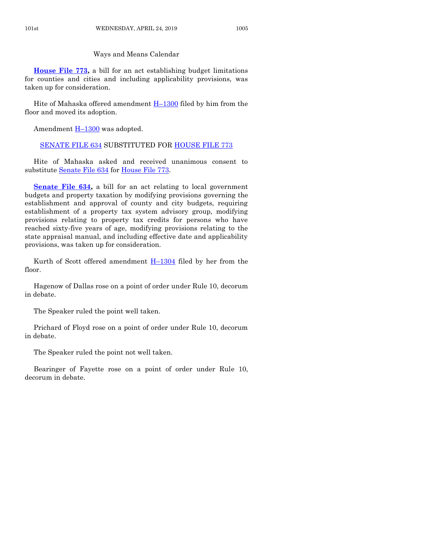#### Ways and Means Calendar

**[House File 773,](https://www.legis.iowa.gov/legislation/BillBook?ga=88&ba=HF773)** a bill for an act establishing budget limitations for counties and cities and including applicability provisions, was taken up for consideration.

Hite of Mahaska offered amendment H–[1300](https://www.legis.iowa.gov/legislation/BillBook?ga=88&ba=H1300) filed by him from the floor and moved its adoption.

Amendment  $H-1300$  $H-1300$  was adopted.

#### [SENATE FILE 634](https://www.legis.iowa.gov/legislation/BillBook?ga=88&ba=SF634) SUBSTITUTED FOR [HOUSE FILE 773](https://www.legis.iowa.gov/legislation/BillBook?ga=88&ba=HF773)

Hite of Mahaska asked and received unanimous consent to substitute [Senate File 634](https://www.legis.iowa.gov/legislation/BillBook?ga=88&ba=SF634) for [House File 773.](https://www.legis.iowa.gov/legislation/BillBook?ga=88&ba=HF773)

**[Senate File 634,](https://www.legis.iowa.gov/legislation/BillBook?ga=88&ba=SF634)** a bill for an act relating to local government budgets and property taxation by modifying provisions governing the establishment and approval of county and city budgets, requiring establishment of a property tax system advisory group, modifying provisions relating to property tax credits for persons who have reached sixty-five years of age, modifying provisions relating to the state appraisal manual, and including effective date and applicability provisions, was taken up for consideration.

Kurth of Scott offered amendment  $H-1304$  $H-1304$  filed by her from the floor.

Hagenow of Dallas rose on a point of order under Rule 10, decorum in debate.

The Speaker ruled the point well taken.

Prichard of Floyd rose on a point of order under Rule 10, decorum in debate.

The Speaker ruled the point not well taken.

Bearinger of Fayette rose on a point of order under Rule 10, decorum in debate.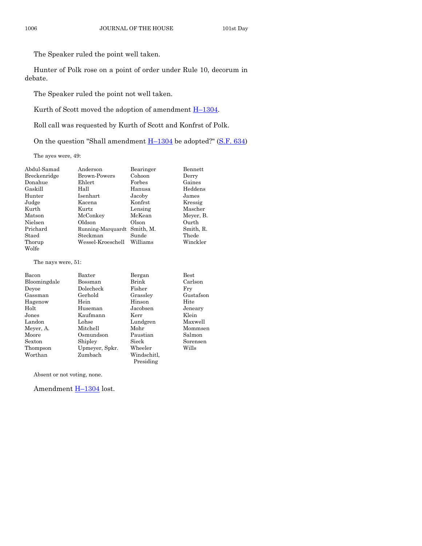The Speaker ruled the point well taken.

Hunter of Polk rose on a point of order under Rule 10, decorum in debate.

The Speaker ruled the point not well taken.

Kurth of Scott moved the adoption of amendment  $H-1304$ .

Roll call was requested by Kurth of Scott and Konfrst of Polk.

On the question "Shall amendment  $H-1304$  $H-1304$  be adopted?" [\(S.F. 634\)](https://www.legis.iowa.gov/legislation/BillBook?ga=88&ba=SF634)

The ayes were, 49:

| Abdul-Samad  | Anderson            | Bearinger | Bennett   |
|--------------|---------------------|-----------|-----------|
| Breckenridge | <b>Brown-Powers</b> | Cohoon    | Derry     |
| Donahue      | Ehlert              | Forbes    | Gaines    |
| Gaskill      | Hall                | Hanusa    | Heddens   |
| Hunter       | Isenhart            | Jacoby    | James     |
| Judge        | Kacena              | Konfrst   | Kressig   |
| Kurth        | Kurtz               | Lensing   | Mascher   |
| Matson       | McConkey            | McKean    | Meyer, B. |
| Nielsen      | Oldson              | Olson     | Ourth     |
| Prichard     | Running-Marquardt   | Smith, M. | Smith, R. |
| Staed        | Steckman            | Sunde     | Thede     |
| Thorup       | Wessel-Kroeschell   | Williams  | Winckler  |
| Wolfe        |                     |           |           |

The nays were, 51:

| Bacon        | Baxter         | Bergan      | <b>Best</b> |
|--------------|----------------|-------------|-------------|
| Bloomingdale | Bossman        | Brink       | Carlson     |
| Devoe        | Dolecheck      | Fisher      | Frv         |
| Gassman      | Gerhold        | Grassley    | Gustafson   |
| Hagenow      | Hein           | Hinson      | Hite        |
| Holt         | Huseman        | Jacobsen    | Jeneary     |
| Jones        | Kaufmann       | Kerr        | Klein       |
| Landon       | Lohse          | Lundgren    | Maxwell     |
| Meyer, A.    | Mitchell       | Mohr        | Mommsen     |
| Moore        | Osmundson      | Paustian    | Salmon      |
| Sexton       | Shipley        | Sieck       | Sorensen    |
| Thompson     | Upmeyer, Spkr. | Wheeler     | Wills       |
| Worthan      | Zumbach        | Windschitl. |             |
|              |                | Presiding   |             |

Absent or not voting, none.

Amendment **H**-[1304](https://www.legis.iowa.gov/legislation/BillBook?ga=88&ba=H1304) lost.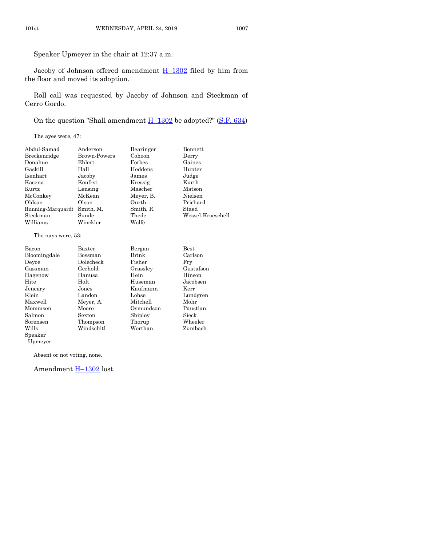Speaker Upmeyer in the chair at 12:37 a.m.

Jacoby of Johnson offered amendment  $H-1302$  $H-1302$  filed by him from the floor and moved its adoption.

Roll call was requested by Jacoby of Johnson and Steckman of Cerro Gordo.

On the question "Shall amendment  $H-1302$  $H-1302$  be adopted?" [\(S.F. 634\)](https://www.legis.iowa.gov/legislation/BillBook?ga=88&ba=SF634)

The ayes were, 47:

| Abdul-Samad       | Anderson     | Bearinger | Bennett           |
|-------------------|--------------|-----------|-------------------|
| Breckenridge      | Brown-Powers | Cohoon    | Derry             |
| Donahue           | Ehlert       | Forbes    | Gaines            |
| Gaskill           | Hall         | Heddens   | Hunter            |
| Isenhart          | Jacoby       | James     | Judge             |
| Kacena            | Konfrst      | Kressig   | Kurth             |
| Kurtz             | Lensing      | Mascher   | Matson            |
| McConkey          | McKean       | Meyer, B. | Nielsen           |
| Oldson            | Olson        | Ourth     | Prichard          |
| Running-Marquardt | Smith, M.    | Smith, R. | Staed             |
| Steckman          | Sunde        | Thede     | Wessel-Kroeschell |
| Williams          | Winckler     | Wolfe     |                   |
|                   |              |           |                   |

The nays were, 53:

| Bacon        | Baxter     | Bergan    | $_{\rm Best}$ |
|--------------|------------|-----------|---------------|
| Bloomingdale | Bossman    | Brink     | Carlson       |
| Devoe        | Dolecheck  | Fisher    | Fry           |
| Gassman      | Gerhold    | Grassley  | Gustafson     |
| Hagenow      | Hanusa     | Hein      | Hinson        |
| Hite         | Holt       | Huseman   | Jacobsen      |
| Jeneary      | Jones      | Kaufmann  | Kerr          |
| Klein        | Landon     | Lohse     | Lundgren      |
| Maxwell      | Meyer, A.  | Mitchell  | Mohr          |
| Mommsen      | Moore      | Osmundson | Paustian      |
| Salmon       | Sexton     | Shipley   | Sieck         |
| Sorensen     | Thompson   | Thorup    | Wheeler       |
| Wills        | Windschitl | Worthan   | Zumbach       |
| Speaker      |            |           |               |

Absent or not voting, none.

Upmeyer

Amendment H–[1302](https://www.legis.iowa.gov/legislation/BillBook?ga=88&ba=H1302) lost.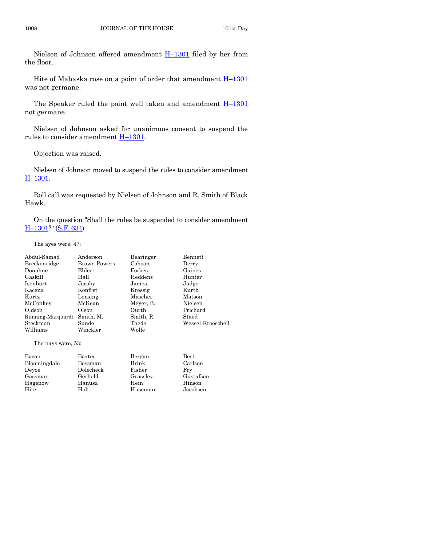Nielsen of Johnson offered amendment  $H-1301$  $H-1301$  filed by her from the floor.

Hite of Mahaska rose on a point of order that amendment  $H-1301$  $H-1301$ was not germane.

The Speaker ruled the point well taken and amendment  $H-1301$  $H-1301$ not germane.

Nielsen of Johnson asked for unanimous consent to suspend the rules to consider amendment H–[1301.](https://www.legis.iowa.gov/legislation/BillBook?ga=88&ba=H1301)

Objection was raised.

Nielsen of Johnson moved to suspend the rules to consider amendment H–[1301.](https://www.legis.iowa.gov/legislation/BillBook?ga=88&ba=H1301)

Roll call was requested by Nielsen of Johnson and R. Smith of Black Hawk.

On the question "Shall the rules be suspended to consider amendment H–[1301?](https://www.legis.iowa.gov/legislation/BillBook?ga=88&ba=H1301)" [\(S.F. 634\)](https://www.legis.iowa.gov/legislation/BillBook?ga=88&ba=SF634)

The ayes were, 47:

| Abdul-Samad         | Anderson            | Bearinger | Bennett           |
|---------------------|---------------------|-----------|-------------------|
| Breckenridge        | <b>Brown-Powers</b> | Cohoon    | Derry             |
| Donahue             | Ehlert              | Forbes    | Gaines            |
| Gaskill             | Hall                | Heddens   | Hunter            |
| Isenhart            | Jacoby              | James     | Judge             |
| Kacena              | Konfrst             | Kressig   | Kurth             |
| Kurtz               | Lensing             | Mascher   | Matson            |
| McConkey            | McKean              | Meyer, B. | Nielsen           |
| Oldson              | Olson               | Ourth     | Prichard          |
| Running-Marquardt   | Smith, M.           | Smith, R. | Staed             |
| Steckman            | Sunde               | Thede     | Wessel-Kroeschell |
| Williams            | Winckler            | Wolfe     |                   |
| The nays were, 53:  |                     |           |                   |
| Bacon               | Baxter              | Bergan    | $_{\rm Best}$     |
| <b>Bloomingdolo</b> | Bossman             | Rminz     | Covloon           |

| Bacon        | Baxter    | Bergan   | $_{\rm Best}$ |
|--------------|-----------|----------|---------------|
| Bloomingdale | Bossman   | Brink    | Carlson       |
| Devoe        | Dolecheck | Fisher   | Frv           |
| Gassman      | Gerhold   | Grassley | Gustafson     |
| Hagenow      | Hanusa    | Hein     | Hinson        |
| Hite         | Holt      | Huseman  | Jacobsen      |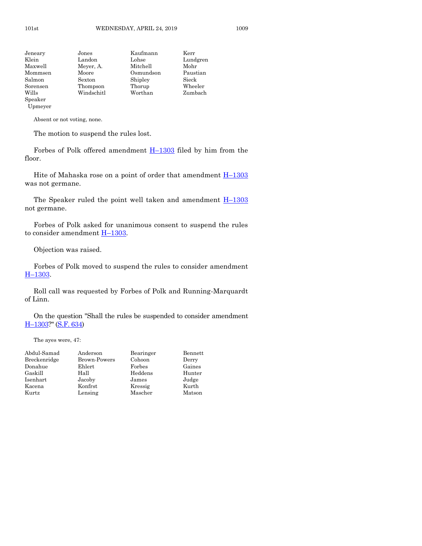| Jeneary  | Jones      | Kaufmann  | Kerr     |
|----------|------------|-----------|----------|
| Klein    | Landon     | Lohse     | Lundgren |
| Maxwell  | Meyer, A.  | Mitchell  | Mohr     |
| Mommsen  | Moore      | Osmundson | Paustian |
| Salmon   | Sexton     | Shipley   | Sieck    |
| Sorensen | Thompson   | Thorup    | Wheeler  |
| Wills    | Windschitl | Worthan   | Zumbach  |
| Speaker  |            |           |          |

Upmeyer

Absent or not voting, none.

The motion to suspend the rules lost.

Forbes of Polk offered amendment  $H-1303$  $H-1303$  filed by him from the floor.

Hite of Mahaska rose on a point of order that amendment  $H-1303$  $H-1303$ was not germane.

The Speaker ruled the point well taken and amendment  $H-1303$  $H-1303$ not germane.

Forbes of Polk asked for unanimous consent to suspend the rules to consider amendment  $H-1303$ .

Objection was raised.

Forbes of Polk moved to suspend the rules to consider amendment H–[1303.](https://www.legis.iowa.gov/legislation/BillBook?ga=88&ba=H1303)

Roll call was requested by Forbes of Polk and Running-Marquardt of Linn.

On the question "Shall the rules be suspended to consider amendment H–[1303?](https://www.legis.iowa.gov/legislation/BillBook?ga=88&ba=H1303)" [\(S.F. 634\)](https://www.legis.iowa.gov/legislation/BillBook?ga=88&ba=SF634)

The ayes were, 47:

| Abdul-Samad  | Anderson     | Bearinger | Bennett |
|--------------|--------------|-----------|---------|
| Breckenridge | Brown-Powers | Cohoon    | Derry   |
| Donahue      | Ehlert       | Forbes    | Gaines  |
| Gaskill      | Hall         | Heddens   | Hunter  |
| Isenhart     | Jacoby       | James     | Judge   |
| Kacena       | Konfrst      | Kressig   | Kurth   |
| Kurtz        | Lensing      | Mascher   | Matson  |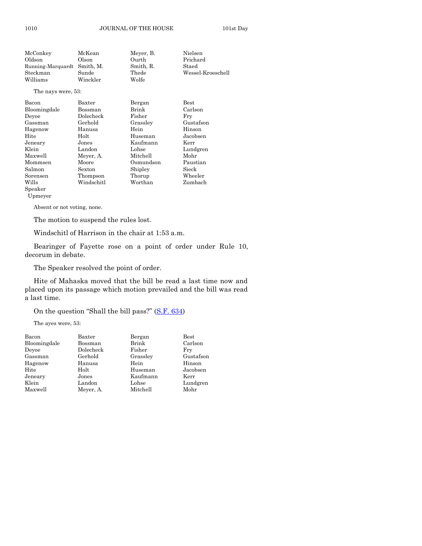| McConkey           | McKean     | Meyer, B. | Nielsen           |
|--------------------|------------|-----------|-------------------|
| Oldson             | Olson      | Ourth     | Prichard          |
| Running-Marquardt  | Smith, M.  | Smith, R. | Staed             |
| Steckman           | Sunde      | Thede     | Wessel-Kroeschell |
| Williams           | Winckler   | Wolfe     |                   |
| The nays were, 53: |            |           |                   |
| Bacon              | Baxter     | Bergan    | $_{\rm Best}$     |
| Bloomingdale       | Bossman    | Brink     | Carlson           |
| Deyoe              | Dolecheck  | Fisher    | Fry               |
| Gassman            | Gerhold    | Grassley  | Gustafson         |
| Hagenow            | Hanusa     | Hein      | Hinson            |
| Hite               | Holt       | Huseman   | Jacobsen          |
| Jeneary            | Jones      | Kaufmann  | Kerr              |
| Klein              | Landon     | Lohse     | Lundgren          |
| Maxwell            | Meyer, A.  | Mitchell  | Mohr              |
| Mommsen            | Moore      | Osmundson | Paustian          |
| Salmon             | Sexton     | Shipley   | Sieck             |
| Sorensen           | Thompson   | Thorup    | Wheeler           |
| Wills              | Windschitl | Worthan   | Zumbach           |
| Speaker            |            |           |                   |
| Upmeyer            |            |           |                   |

Absent or not voting, none.

The motion to suspend the rules lost.

Windschitl of Harrison in the chair at 1:53 a.m.

Bearinger of Fayette rose on a point of order under Rule 10, decorum in debate.

The Speaker resolved the point of order.

Hite of Mahaska moved that the bill be read a last time now and placed upon its passage which motion prevailed and the bill was read a last time.

On the question "Shall the bill pass?" ([S.F. 634\)](https://www.legis.iowa.gov/legislation/BillBook?ga=88&ba=SF634)

The ayes were, 53:

| Bacon        | Baxter    | Bergan   | $_{\rm Best}$ |
|--------------|-----------|----------|---------------|
| Bloomingdale | Bossman   | Brink    | Carlson       |
| Devoe        | Dolecheck | Fisher   | Fry           |
| Gassman      | Gerhold   | Grassley | Gustafson     |
| Hagenow      | Hanusa    | Hein     | Hinson        |
| Hite         | Holt      | Huseman  | Jacobsen      |
| Jeneary      | Jones     | Kaufmann | Kerr          |
| Klein        | Landon    | Lohse    | Lundgren      |
| Maxwell      | Meyer, A. | Mitchell | Mohr          |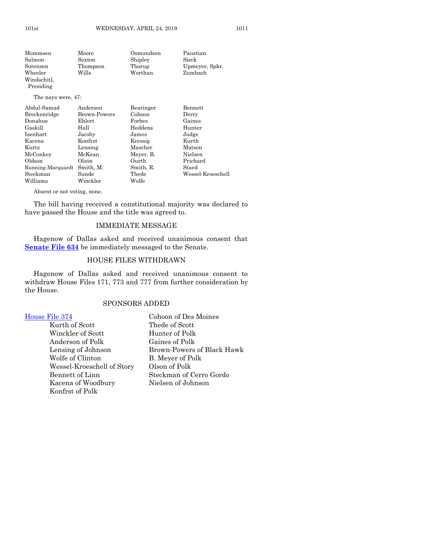| Mommsen            | Moore        | Osmundson     | Paustian          |
|--------------------|--------------|---------------|-------------------|
| Salmon             | Sexton       | Shipley       | Sieck             |
| Sorensen           | Thompson     | Thorup        | Upmeyer, Spkr.    |
| Wheeler            | Wills        | Worthan       | Zumbach           |
| Windschitl.        |              |               |                   |
| Presiding          |              |               |                   |
| The nays were, 47: |              |               |                   |
| Abdul-Samad        | Anderson     | Bearinger     | Bennett           |
| Breckenridge       | Brown-Powers | Cohoon        | Derry             |
| Donahue            | $E$ hlert    | $\rm{Forbes}$ | Gaines            |
| Gaskill            | Hall         | Heddens       | Hunter            |
| Isenhart           | Jacoby       | James         | Judge             |
| Kacena             | Konfrst      | Kressig       | Kurth             |
| Kurtz              | Lensing      | Mascher       | Matson            |
| McConkey           | McKean       | Meyer, B.     | Nielsen           |
| Oldson             | Olson        | Ourth         | Prichard          |
| Running-Marquardt  | Smith, M.    | Smith, R.     | Staed             |
| Steckman           | Sunde        | Thede         | Wessel-Kroeschell |
| Williams           | Winckler     | Wolfe         |                   |

Absent or not voting, none.

The bill having received a constitutional majority was declared to have passed the House and the title was agreed to.

#### IMMEDIATE MESSAGE

Hagenow of Dallas asked and received unanimous consent that **[Senate File 634](https://www.legis.iowa.gov/legislation/BillBook?ga=88&ba=SF634)** be immediately messaged to the Senate.

#### HOUSE FILES WITHDRAWN

Hagenow of Dallas asked and received unanimous consent to withdraw House Files 171, 773 and 777 from further consideration by the House.

#### SPONSORS ADDED

- Kurth of Scott Thede of Scott Winckler of Scott Hunter of Polk Anderson of Polk Gaines of Polk Wolfe of Clinton B. Meyer of Polk Wessel-Kroeschell of Story Olson of Polk Kacena of Woodbury Nielsen of Johnson Konfrst of Polk
- [House File 374](https://www.legis.iowa.gov/legislation/BillBook?ga=88&ba=HF374) Cohoon of Des Moines Lensing of Johnson Brown-Powers of Black Hawk Bennett of Linn Steckman of Cerro Gordo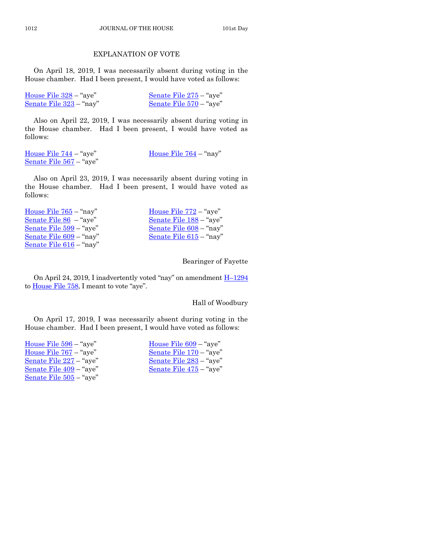#### EXPLANATION OF VOTE

On April 18, 2019, I was necessarily absent during voting in the House chamber. Had I been present, I would have voted as follows:

| House File $328 -$ "aye"  | Senate File $275 -$ "aye" |
|---------------------------|---------------------------|
| Senate File $323$ – "nay" | Senate File 570 – "aye"   |

Also on April 22, 2019, I was necessarily absent during voting in the House chamber. Had I been present, I would have voted as follows:

| House File $744 -$ "aye"       | House File $764 -$ "nay" |
|--------------------------------|--------------------------|
| <u>Senate File 567</u> – "aye" |                          |

Also on April 23, 2019, I was necessarily absent during voting in the House chamber. Had I been present, I would have voted as follows:

[House File 765](https://www.legis.iowa.gov/legislation/BillBook?ga=88&ba=HF765) – "nay" [House File 772](https://www.legis.iowa.gov/legislation/BillBook?ga=88&ba=HF772) – "aye" [Senate File 86](https://www.legis.iowa.gov/legislation/BillBook?ga=88&ba=SF86) – "aye" [Senate File 188](https://www.legis.iowa.gov/legislation/BillBook?ga=88&ba=SF188) – "aye" [Senate File 599](https://www.legis.iowa.gov/legislation/BillBook?ga=88&ba=SF599) – "aye" [Senate File 608](https://www.legis.iowa.gov/legislation/BillBook?ga=88&ba=SF608) – "nay" [Senate File 609](https://www.legis.iowa.gov/legislation/BillBook?ga=88&ba=SF609) – "nay" [Senate File 615](https://www.legis.iowa.gov/legislation/BillBook?ga=88&ba=SF615) – "nay" [Senate File 616](https://www.legis.iowa.gov/legislation/BillBook?ga=88&ba=SF616) – "nay"

Bearinger of Fayette

On April 24, 2019, I inadvertently voted "nay" on amendment H–[1294](https://www.legis.iowa.gov/legislation/BillBook?ga=88&ba=H1294) to [House File 758](https://www.legis.iowa.gov/legislation/BillBook?ga=88&ba=HF758), I meant to vote "aye".

Hall of Woodbury

On April 17, 2019, I was necessarily absent during voting in the House chamber. Had I been present, I would have voted as follows:

| House File $596 -$ "aye" | House File $609 -$ "aye" |
|--------------------------|--------------------------|
| House File $767 -$ "aye" | Senate File 170 - "aye"  |
| Senate File 227 – "aye"  | Senate File 283 – "aye"  |
| Senate File 409 – "aye"  | Senate File 475 – "aye"  |
| Senate File 505 – "aye"  |                          |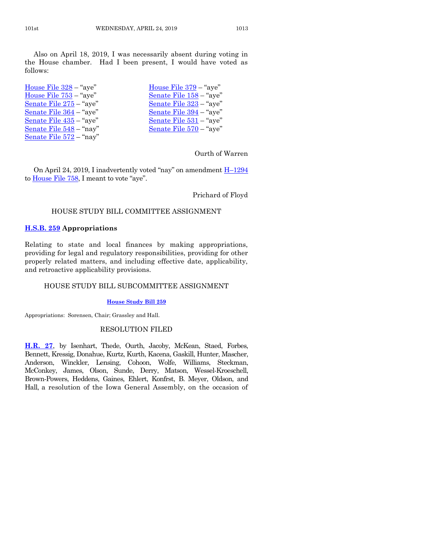Also on April 18, 2019, I was necessarily absent during voting in the House chamber. Had I been present, I would have voted as follows:

| House File $328 -$ "aye"  | House File $379 -$ "aye"                    |
|---------------------------|---------------------------------------------|
| House File 753 - "aye"    | Senate File 158 - "aye"                     |
| Senate File 275 – "aye"   | Senate File 323 - "aye"                     |
| Senate File $364$ – "aye" | Senate File $394 -$ "aye"                   |
| Senate File $435 -$ "aye" | <u>Senate File <math>531 -</math></u> "aye" |
| Senate File $548 -$ "nay" | Senate File 570 - "aye"                     |
| Senate File $572 -$ "nay" |                                             |

#### Ourth of Warren

On April 24, 2019, I inadvertently voted "nay" on amendment H–[1294](https://www.legis.iowa.gov/legislation/BillBook?ga=88&ba=H1294) to **House File 758**, I meant to vote "aye".

Prichard of Floyd

#### HOUSE STUDY BILL COMMITTEE ASSIGNMENT

#### **[H.S.B. 259](https://www.legis.iowa.gov/legislation/BillBook?ga=88&ba=HSB259) Appropriations**

Relating to state and local finances by making appropriations, providing for legal and regulatory responsibilities, providing for other properly related matters, and including effective date, applicability, and retroactive applicability provisions.

#### HOUSE STUDY BILL SUBCOMMITTEE ASSIGNMENT

#### **[House Study Bill 259](https://www.legis.iowa.gov/legislation/BillBook?ga=88&ba=HSB259)**

Appropriations: Sorensen, Chair; Grassley and Hall.

#### RESOLUTION FILED

**[H.R. 27](https://www.legis.iowa.gov/legislation/BillBook?ga=88&ba=HR27)**, by Isenhart, Thede, Ourth, Jacoby, McKean, Staed, Forbes, Bennett, Kressig, Donahue, Kurtz, Kurth, Kacena, Gaskill, Hunter, Mascher, Anderson, Winckler, Lensing, Cohoon, Wolfe, Williams, Steckman, McConkey, James, Olson, Sunde, Derry, Matson, Wessel-Kroeschell, Brown-Powers, Heddens, Gaines, Ehlert, Konfrst, B. Meyer, Oldson, and Hall, a resolution of the Iowa General Assembly, on the occasion of